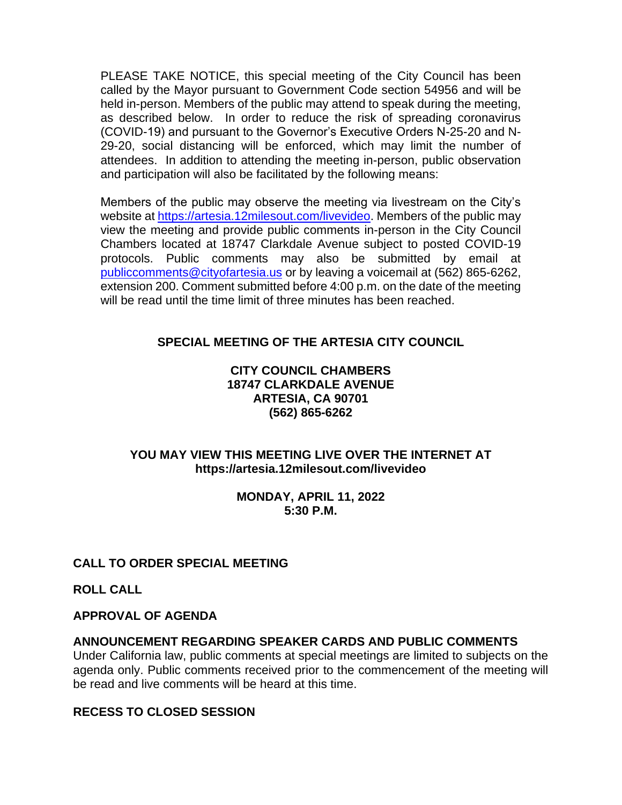PLEASE TAKE NOTICE, this special meeting of the City Council has been called by the Mayor pursuant to Government Code section 54956 and will be held in-person. Members of the public may attend to speak during the meeting, as described below. In order to reduce the risk of spreading coronavirus (COVID-19) and pursuant to the Governor's Executive Orders N-25-20 and N-29-20, social distancing will be enforced, which may limit the number of attendees. In addition to attending the meeting in-person, public observation and participation will also be facilitated by the following means:

Members of the public may observe the meeting via livestream on the City's website at [https://artesia.12milesout.com/livevideo.](https://artesia.12milesout.com/livevideo) Members of the public may view the meeting and provide public comments in-person in the City Council Chambers located at 18747 Clarkdale Avenue subject to posted COVID-19 protocols. Public comments may also be submitted by email at [publiccomments@cityofartesia.us](mailto:publiccomments@cityofartesia.us) or by leaving a voicemail at (562) 865-6262, extension 200. Comment submitted before 4:00 p.m. on the date of the meeting will be read until the time limit of three minutes has been reached.

# **SPECIAL MEETING OF THE ARTESIA CITY COUNCIL**

### **CITY COUNCIL CHAMBERS 18747 CLARKDALE AVENUE ARTESIA, CA 90701 (562) 865-6262**

## **YOU MAY VIEW THIS MEETING LIVE OVER THE INTERNET AT https://artesia.12milesout.com/livevideo**

### **MONDAY, APRIL 11, 2022 5:30 P.M.**

### **CALL TO ORDER SPECIAL MEETING**

**ROLL CALL** 

### **APPROVAL OF AGENDA**

### **ANNOUNCEMENT REGARDING SPEAKER CARDS AND PUBLIC COMMENTS**

Under California law, public comments at special meetings are limited to subjects on the agenda only. Public comments received prior to the commencement of the meeting will be read and live comments will be heard at this time.

#### **RECESS TO CLOSED SESSION**